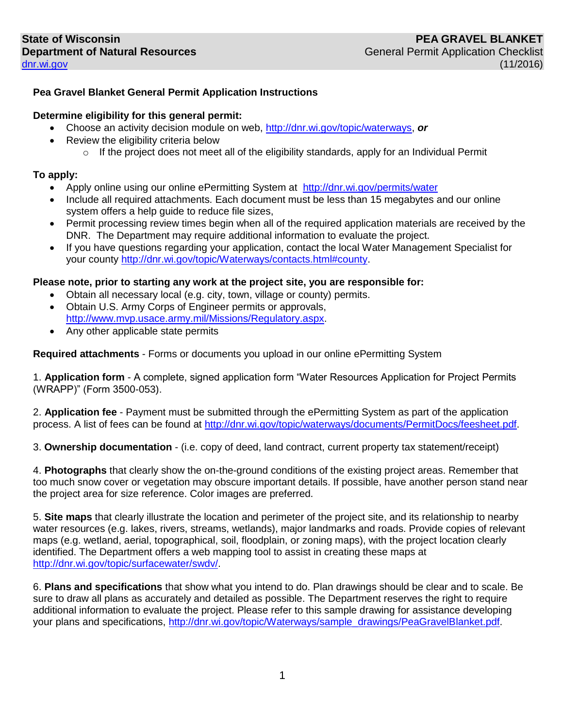## **Pea Gravel Blanket General Permit Application Instructions**

## **Determine eligibility for this general permit:**

- Choose an activity decision module on web, [http://dnr.wi.gov/topic/waterways,](http://dnr.wi.gov/topic/waterways) *or*
- Review the eligibility criteria below
	- $\circ$  If the project does not meet all of the eligibility standards, apply for an Individual Permit

## **To apply:**

- Apply online using our online ePermitting System at <http://dnr.wi.gov/permits/water>
- Include all required attachments. Each document must be less than 15 megabytes and our online system offers a help guide to reduce file sizes,
- Permit processing review times begin when all of the required application materials are received by the DNR. The Department may require additional information to evaluate the project.
- If you have questions regarding your application, contact the local Water Management Specialist for your county [http://dnr.wi.gov/topic/Waterways/contacts.html#county.](http://dnr.wi.gov/topic/Waterways/contacts.html#county)

## **Please note, prior to starting any work at the project site, you are responsible for:**

- Obtain all necessary local (e.g. city, town, village or county) permits.
- Obtain U.S. Army Corps of Engineer permits or approvals, [http://www.mvp.usace.army.mil/Missions/Regulatory.aspx.](http://www.mvp.usace.army.mil/Missions/Regulatory.aspx)
- Any other applicable state permits

**Required attachments** - Forms or documents you upload in our online ePermitting System

1. **Application form** - A complete, signed application form "Water Resources Application for Project Permits (WRAPP)" (Form 3500-053).

2. **Application fee** - Payment must be submitted through the ePermitting System as part of the application process. A list of fees can be found at [http://dnr.wi.gov/topic/waterways/documents/PermitDocs/feesheet.pdf.](http://dnr.wi.gov/topic/waterways/documents/PermitDocs/feesheet.pdf)

3. **Ownership documentation** - (i.e. copy of deed, land contract, current property tax statement/receipt)

4. **Photographs** that clearly show the on-the-ground conditions of the existing project areas. Remember that too much snow cover or vegetation may obscure important details. If possible, have another person stand near the project area for size reference. Color images are preferred.

5. **Site maps** that clearly illustrate the location and perimeter of the project site, and its relationship to nearby water resources (e.g. lakes, rivers, streams, wetlands), major landmarks and roads. Provide copies of relevant maps (e.g. wetland, aerial, topographical, soil, floodplain, or zoning maps), with the project location clearly identified. The Department offers a web mapping tool to assist in creating these maps at [http://dnr.wi.gov/topic/surfacewater/swdv/.](http://dnr.wi.gov/topic/surfacewater/swdv/)

6. **Plans and specifications** that show what you intend to do. Plan drawings should be clear and to scale. Be sure to draw all plans as accurately and detailed as possible. The Department reserves the right to require additional information to evaluate the project. Please refer to this sample drawing for assistance developing your plans and specifications, [http://dnr.wi.gov/topic/Waterways/sample\\_drawings/PeaGravelBlanket.pdf.](http://dnr.wi.gov/topic/Waterways/sample_drawings/PeaGravelBlanket.pdf)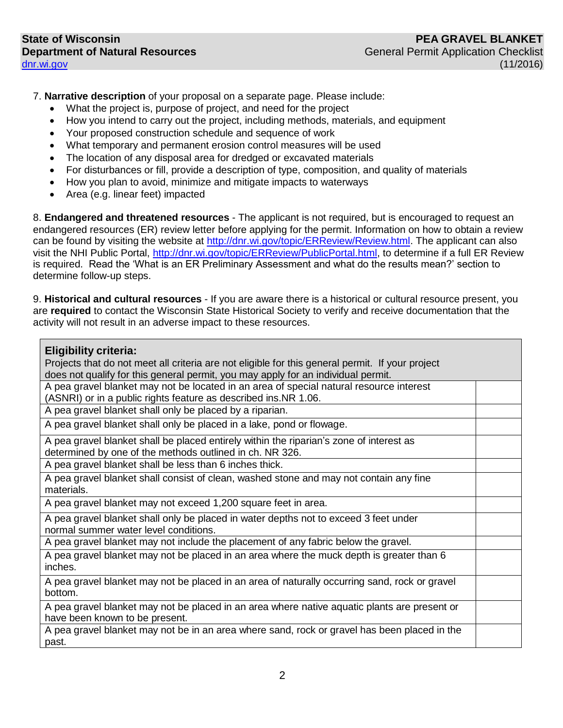7. **Narrative description** of your proposal on a separate page. Please include:

- What the project is, purpose of project, and need for the project
- How you intend to carry out the project, including methods, materials, and equipment
- Your proposed construction schedule and sequence of work
- What temporary and permanent erosion control measures will be used
- The location of any disposal area for dredged or excavated materials
- For disturbances or fill, provide a description of type, composition, and quality of materials
- How you plan to avoid, minimize and mitigate impacts to waterways
- Area (e.g. linear feet) impacted

8. **Endangered and threatened resources** - The applicant is not required, but is encouraged to request an endangered resources (ER) review letter before applying for the permit. Information on how to obtain a review can be found by visiting the website at [http://dnr.wi.gov/topic/ERReview/Review.html.](http://dnr.wi.gov/topic/ERReview/Review.html) The applicant can also visit the NHI Public Portal, [http://dnr.wi.gov/topic/ERReview/PublicPortal.html,](http://dnr.wi.gov/topic/ERReview/PublicPortal.html) to determine if a full ER Review is required. Read the 'What is an ER Preliminary Assessment and what do the results mean?' section to determine follow-up steps.

9. **Historical and cultural resources** - If you are aware there is a historical or cultural resource present, you are **required** to contact the Wisconsin State Historical Society to verify and receive documentation that the activity will not result in an adverse impact to these resources.

| <b>Eligibility criteria:</b><br>Projects that do not meet all criteria are not eligible for this general permit. If your project<br>does not qualify for this general permit, you may apply for an individual permit. |  |
|-----------------------------------------------------------------------------------------------------------------------------------------------------------------------------------------------------------------------|--|
| A pea gravel blanket may not be located in an area of special natural resource interest                                                                                                                               |  |
| (ASNRI) or in a public rights feature as described ins.NR 1.06.                                                                                                                                                       |  |
| A pea gravel blanket shall only be placed by a riparian.                                                                                                                                                              |  |
| A pea gravel blanket shall only be placed in a lake, pond or flowage.                                                                                                                                                 |  |
| A pea gravel blanket shall be placed entirely within the riparian's zone of interest as                                                                                                                               |  |
| determined by one of the methods outlined in ch. NR 326.                                                                                                                                                              |  |
| A pea gravel blanket shall be less than 6 inches thick.                                                                                                                                                               |  |
| A pea gravel blanket shall consist of clean, washed stone and may not contain any fine<br>materials.                                                                                                                  |  |
| A pea gravel blanket may not exceed 1,200 square feet in area.                                                                                                                                                        |  |
| A pea gravel blanket shall only be placed in water depths not to exceed 3 feet under<br>normal summer water level conditions.                                                                                         |  |
| A pea gravel blanket may not include the placement of any fabric below the gravel.                                                                                                                                    |  |
| A pea gravel blanket may not be placed in an area where the muck depth is greater than 6<br>inches.                                                                                                                   |  |
| A pea gravel blanket may not be placed in an area of naturally occurring sand, rock or gravel<br>bottom.                                                                                                              |  |
| A pea gravel blanket may not be placed in an area where native aquatic plants are present or<br>have been known to be present.                                                                                        |  |
| A pea gravel blanket may not be in an area where sand, rock or gravel has been placed in the                                                                                                                          |  |

past.